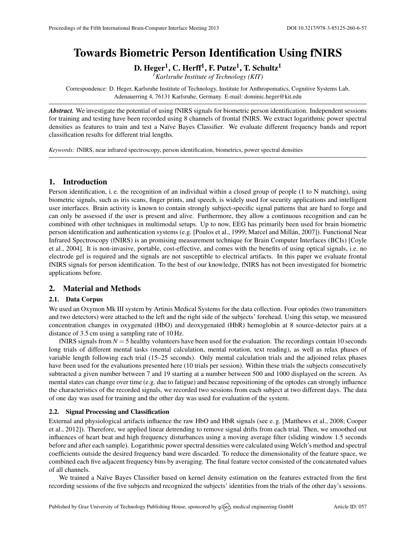# Towards Biometric Person Identification Using fNIRS

D. Heger $^1$ , C. Herff $^1$ , F. Putze $^1$ , T. Schultz $^1$ 

*<sup>1</sup>Karlsruhe Institute of Technology (KIT)*

Correspondence: D. Heger, Karlsruhe Institute of Technology, Institute for Anthropomatics, Cognitive Systems Lab, Adenauerring 4, 76131 Karlsruhe, Germany. E-mail: [dominic.heger@kit.edu](mailto:dominic.heger@kit.edu)

*Abstract.* We investigate the potential of using fNIRS signals for biometric person identification. Independent sessions for training and testing have been recorded using 8 channels of frontal fNIRS. We extract logarithmic power spectral densities as features to train and test a Naïve Bayes Classifier. We evaluate different frequency bands and report classification results for different trial lengths.

*Keywords:* fNIRS, near infrared spectroscopy, person identification, biometrics, power spectral densities

# 1. Introduction

Person identification, i. e. the recognition of an individual within a closed group of people (1 to N matching), using biometric signals, such as iris scans, finger prints, and speech, is widely used for security applications and intelligent user interfaces. Brain activity is known to contain strongly subject-specific signal patterns that are hard to forge and can only be assessed if the user is present and alive. Furthermore, they allow a continuous recognition and can be combined with other techniques in multimodal setups. Up to now, EEG has primarily been used for brain biometric person identification and authentication systems (e.g. [\[Poulos et al.,](#page-1-0) [1999;](#page-1-0) Marcel and Millán, [2007\]](#page-1-1)). Functional Near Infrared Spectroscopy (fNIRS) is an promising measurement technique for Brain Computer Interfaces (BCIs) [\[Coyle](#page-1-2) [et al.,](#page-1-2) [2004\]](#page-1-2). It is non-invasive, portable, cost-effective, and comes with the benefits of using optical signals, i.e. no electrode gel is required and the signals are not susceptible to electrical artifacts. In this paper we evaluate frontal fNIRS signals for person identification. To the best of our knowledge, fNIRS has not been investigated for biometric applications before.

## 2. Material and Methods

#### 2.1. Data Corpus

We used an Oxymon Mk III system by Artinis Medical Systems for the data collection. Four optodes (two transmitters and two detectors) were attached to the left and the right side of the subjects' forehead. Using this setup, we measured concentration changes in oxygenated (HbO) and deoxygenated (HbR) hemoglobin at 8 source-detector pairs at a distance of 3.5 cm using a sampling rate of 10 Hz.

fNIRS signals from  $N = 5$  healthy volunteers have been used for the evaluation. The recordings contain 10 seconds long trials of different mental tasks (mental calculation, mental rotation, text reading), as well as relax phases of variable length following each trial (15–25 seconds). Only mental calculation trials and the adjoined relax phases have been used for the evaluations presented here (10 trials per session). Within these trials the subjects consecutively subtracted a given number between 7 and 19 starting at a number between 500 and 1000 displayed on the screen. As mental states can change over time (e.g. due to fatigue) and because repositioning of the optodes can strongly influence the characteristics of the recorded signals, we recorded two sessions from each subject at two different days. The data of one day was used for training and the other day was used for evaluation of the system.

#### 2.2. Signal Processing and Classification

External and physiological artifacts influence the raw HbO and HbR signals (see e. g. [\[Matthews et al.,](#page-1-3) [2008;](#page-1-3) [Cooper](#page-1-4) [et al.,](#page-1-4) [2012\]](#page-1-4)). Therefore, we applied linear detrending to remove signal drifts from each trial. Then, we smoothed out influences of heart beat and high frequency disturbances using a moving average filter (sliding window 1.5 seconds before and after each sample). Logarithmic power spectral densities were calculated using Welch's method and spectral coefficients outside the desired frequency band were discarded. To reduce the dimensionality of the feature space, we combined each five adjacent frequency bins by averaging. The final feature vector consisted of the concatenated values of all channels.

We trained a Naïve Bayes Classifier based on kernel density estimation on the features extracted from the first recording sessions of the five subjects and recognized the subjects' identities from the trials of the other day's sessions.